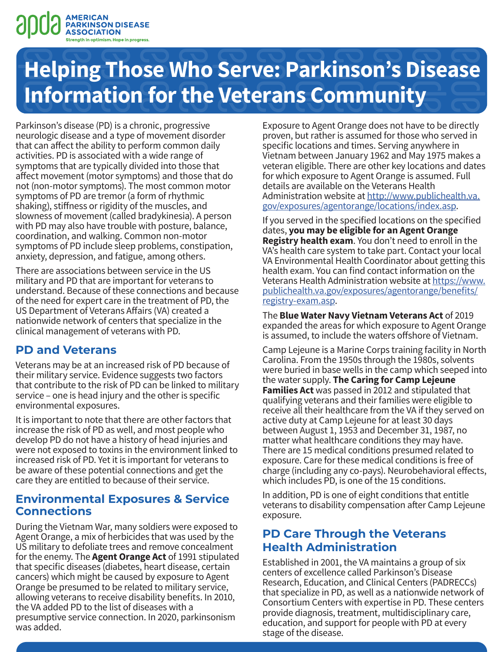

# **Helping Those Who Serve: Parkinson's Disease Information for the Veterans Community**

Parkinson's disease (PD) is a chronic, progressive neurologic disease and a type of movement disorder that can affect the ability to perform common daily activities. PD is associated with a wide range of symptoms that are typically divided into those that affect movement (motor symptoms) and those that do not (non-motor symptoms). The most common motor symptoms of PD are tremor (a form of rhythmic shaking), stiffness or rigidity of the muscles, and slowness of movement (called bradykinesia). A person with PD may also have trouble with posture, balance, coordination, and walking. Common non-motor symptoms of PD include sleep problems, constipation, anxiety, depression, and fatigue, among others.

There are associations between service in the US military and PD that are important for veterans to understand. Because of these connections and because of the need for expert care in the treatment of PD, the US Department of Veterans Affairs (VA) created a nationwide network of centers that specialize in the clinical management of veterans with PD.

### **PD and Veterans**

Veterans may be at an increased risk of PD because of their military service. Evidence suggests two factors that contribute to the risk of PD can be linked to military service – one is head injury and the other is specific environmental exposures.

It is important to note that there are other factors that increase the risk of PD as well, and most people who develop PD do not have a history of head injuries and were not exposed to toxins in the environment linked to increased risk of PD. Yet it is important for veterans to be aware of these potential connections and get the care they are entitled to because of their service.

#### **Environmental Exposures & Service Connections**

During the Vietnam War, many soldiers were exposed to Agent Orange, a mix of herbicides that was used by the US military to defoliate trees and remove concealment for the enemy. The **Agent Orange Act** of 1991 stipulated that specific diseases (diabetes, heart disease, certain cancers) which might be caused by exposure to Agent Orange be presumed to be related to military service, allowing veterans to receive disability benefits. In 2010, the VA added PD to the list of diseases with a presumptive service connection. In 2020, parkinsonism was added.

Exposure to Agent Orange does not have to be directly proven, but rather is assumed for those who served in specific locations and times. Serving anywhere in Vietnam between January 1962 and May 1975 makes a veteran eligible. There are other key locations and dates for which exposure to Agent Orange is assumed. Full details are available on the Veterans Health Administration website at [http://www.publichealth.va.](http://www.publichealth.va.gov/exposures/agentorange/locations/index.asp) [gov/exposures/agentorange/locations/index.asp](http://www.publichealth.va.gov/exposures/agentorange/locations/index.asp).

If you served in the specified locations on the specified dates, **you may be eligible for an Agent Orange Registry health exam**. You don't need to enroll in the VA's health care system to take part. Contact your local VA Environmental Health Coordinator about getting this health exam. You can find contact information on the Veterans Health Administration website at [https://www.](https://www.publichealth.va.gov/exposures/agentorange/benefits/registry-exam.asp) [publichealth.va.gov/exposures/agentorange/benefits/](https://www.publichealth.va.gov/exposures/agentorange/benefits/registry-exam.asp) [registry-exam.asp.](https://www.publichealth.va.gov/exposures/agentorange/benefits/registry-exam.asp)

The **Blue Water Navy Vietnam Veterans Act** of 2019 expanded the areas for which exposure to Agent Orange is assumed, to include the waters offshore of Vietnam.

Camp Lejeune is a Marine Corps training facility in North Carolina. From the 1950s through the 1980s, solvents were buried in base wells in the camp which seeped into the water supply. **The Caring for Camp Lejeune Families Act** was passed in 2012 and stipulated that qualifying veterans and their families were eligible to receive all their healthcare from the VA if they served on active duty at Camp Lejeune for at least 30 days between August 1, 1953 and December 31, 1987, no matter what healthcare conditions they may have. There are 15 medical conditions presumed related to exposure. Care for these medical conditions is free of charge (including any co-pays). Neurobehavioral effects, which includes PD, is one of the 15 conditions.

In addition, PD is one of eight conditions that entitle veterans to disability compensation after Camp Lejeune exposure.

## **PD Care Through the Veterans Health Administration**

Established in 2001, the VA maintains a group of six centers of excellence called Parkinson's Disease Research, Education, and Clinical Centers (PADRECCs) that specialize in PD, as well as a nationwide network of Consortium Centers with expertise in PD. These centers provide diagnosis, treatment, multidisciplinary care, education, and support for people with PD at every stage of the disease.